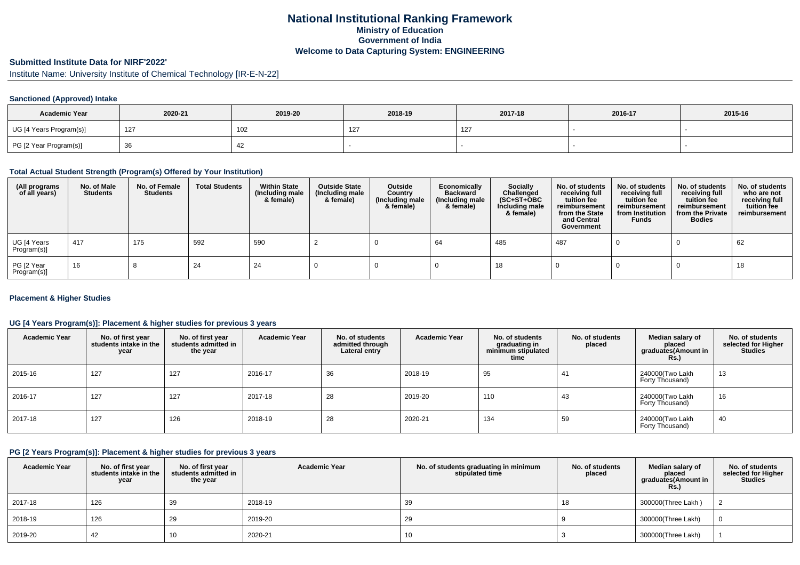## **National Institutional Ranking FrameworkMinistry of Education Government of IndiaWelcome to Data Capturing System: ENGINEERING**

# **Submitted Institute Data for NIRF'2022'**

Institute Name: University Institute of Chemical Technology [IR-E-N-22]

### **Sanctioned (Approved) Intake**

| <b>Academic Year</b>    | 2020-21 | 2019-20 | 2018-19      | 2017-18 | 2016-17 | 2015-16 |
|-------------------------|---------|---------|--------------|---------|---------|---------|
| UG [4 Years Program(s)] | 127     | 102     | $\sim$<br>14 | $\sim$  |         |         |
| PG [2 Year Program(s)]  |         | 44      |              |         |         |         |

## **Total Actual Student Strength (Program(s) Offered by Your Institution)**

| (All programs<br>of all years) | No. of Male<br><b>Students</b> | No. of Female<br><b>Students</b> | <b>Total Students</b> | <b>Within State</b><br>(Including male<br>& female) | <b>Outside State</b><br>(Including male<br>& female) | Outside<br>Country<br>(Including male<br>& female) | Economically<br><b>Backward</b><br>(Including male<br>& female) | <b>Socially</b><br>Challenged<br>$(SC+ST+OBC)$<br>Including male<br>& female) | No. of students<br>receiving full<br>tuition fee<br>reimbursement<br>from the State<br>and Central<br>Government | No. of students<br>receiving full<br>tuition fee<br>reimbursement<br>from Institution<br><b>Funds</b> | No. of students<br>receiving full<br>tuition fee<br>reimbursement<br>from the Private<br><b>Bodies</b> | No. of students<br>who are not<br>receiving full<br>tuition fee<br>reimbursement |
|--------------------------------|--------------------------------|----------------------------------|-----------------------|-----------------------------------------------------|------------------------------------------------------|----------------------------------------------------|-----------------------------------------------------------------|-------------------------------------------------------------------------------|------------------------------------------------------------------------------------------------------------------|-------------------------------------------------------------------------------------------------------|--------------------------------------------------------------------------------------------------------|----------------------------------------------------------------------------------|
| UG [4 Years<br>Program(s)]     | 417                            | 175                              | 592                   | 590                                                 |                                                      |                                                    | 64                                                              | 485                                                                           | 487                                                                                                              |                                                                                                       |                                                                                                        | 62                                                                               |
| PG [2 Year<br>Program(s)]      | 16                             |                                  | 24                    | 24                                                  |                                                      |                                                    |                                                                 | 18                                                                            |                                                                                                                  |                                                                                                       |                                                                                                        | 18                                                                               |

### **Placement & Higher Studies**

## **UG [4 Years Program(s)]: Placement & higher studies for previous 3 years**

| <b>Academic Year</b> | No. of first year<br>students intake in the<br>year | No. of first vear<br>students admitted in<br>the year | <b>Academic Year</b> | No. of students<br>admitted through<br>Lateral entry | <b>Academic Year</b> | No. of students<br>graduating in<br>minimum stipulated<br>time | No. of students<br>placed | Median salary of<br>placed<br>graduates(Amount in<br><b>Rs.</b> ) | No. of students<br>selected for Higher<br><b>Studies</b> |
|----------------------|-----------------------------------------------------|-------------------------------------------------------|----------------------|------------------------------------------------------|----------------------|----------------------------------------------------------------|---------------------------|-------------------------------------------------------------------|----------------------------------------------------------|
| 2015-16              | 127                                                 | 127                                                   | 2016-17              | 36                                                   | 2018-19              | 95                                                             | 41                        | 240000(Two Lakh<br>Forty Thousand)                                | 13                                                       |
| 2016-17              | 127                                                 | 127                                                   | 2017-18              | 28                                                   | 2019-20              | 110                                                            | 43                        | 240000(Two Lakh<br>Forty Thousand)                                | 16                                                       |
| 2017-18              | 127                                                 | 126                                                   | 2018-19              | 28                                                   | 2020-21              | 134                                                            | 59                        | 240000(Two Lakh<br>Forty Thousand)                                | 40                                                       |

## **PG [2 Years Program(s)]: Placement & higher studies for previous 3 years**

| <b>Academic Year</b> | No. of first year<br>students intake in the<br>year | No. of first vear<br>students admitted in<br>the year | <b>Academic Year</b> | No. of students graduating in minimum<br>stipulated time | No. of students<br>placed | Median salary of<br>placed<br>graduates(Amount in<br><b>Rs.)</b> | No. of students<br>selected for Higher<br><b>Studies</b> |
|----------------------|-----------------------------------------------------|-------------------------------------------------------|----------------------|----------------------------------------------------------|---------------------------|------------------------------------------------------------------|----------------------------------------------------------|
| 2017-18              | 126                                                 | 39                                                    | 2018-19              | 39                                                       | 18                        | 300000(Three Lakh)                                               |                                                          |
| 2018-19              | 126                                                 | 29                                                    | 2019-20              | 29                                                       |                           | 300000(Three Lakh)                                               | $\Omega$                                                 |
| 2019-20              | 42                                                  | 10                                                    | 2020-21              | 10                                                       |                           | 300000(Three Lakh)                                               |                                                          |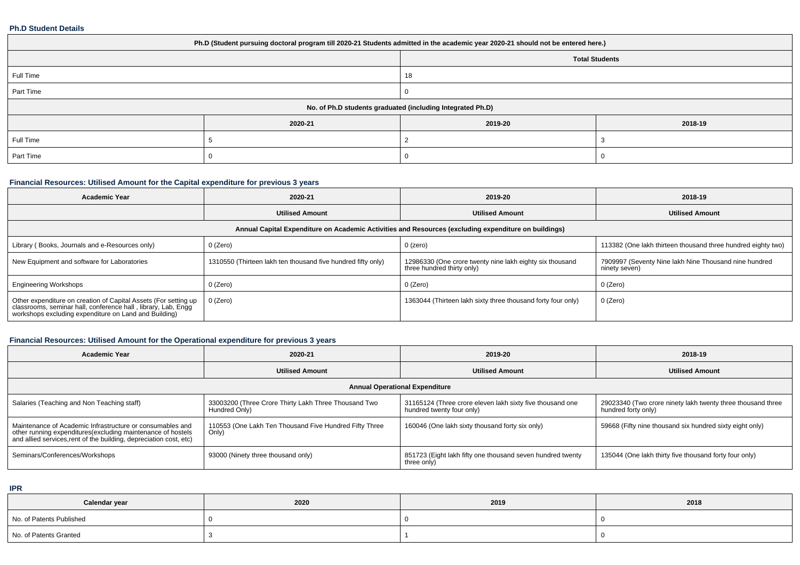#### **Ph.D Student Details**

| Ph.D (Student pursuing doctoral program till 2020-21 Students admitted in the academic year 2020-21 should not be entered here.) |         |         |         |  |  |  |  |
|----------------------------------------------------------------------------------------------------------------------------------|---------|---------|---------|--|--|--|--|
| <b>Total Students</b>                                                                                                            |         |         |         |  |  |  |  |
| Full Time                                                                                                                        |         | 18      |         |  |  |  |  |
| Part Time                                                                                                                        |         |         |         |  |  |  |  |
| No. of Ph.D students graduated (including Integrated Ph.D)                                                                       |         |         |         |  |  |  |  |
|                                                                                                                                  | 2020-21 | 2019-20 | 2018-19 |  |  |  |  |
| Full Time                                                                                                                        |         |         |         |  |  |  |  |
| Part Time                                                                                                                        |         |         |         |  |  |  |  |

## **Financial Resources: Utilised Amount for the Capital expenditure for previous 3 years**

| <b>Academic Year</b>                                                                                                                                                                      | 2020-21                                                                                              | 2019-20                                                                                | 2018-19                                                                |  |  |  |  |  |  |  |
|-------------------------------------------------------------------------------------------------------------------------------------------------------------------------------------------|------------------------------------------------------------------------------------------------------|----------------------------------------------------------------------------------------|------------------------------------------------------------------------|--|--|--|--|--|--|--|
|                                                                                                                                                                                           | <b>Utilised Amount</b>                                                                               | <b>Utilised Amount</b>                                                                 | <b>Utilised Amount</b>                                                 |  |  |  |  |  |  |  |
|                                                                                                                                                                                           | Annual Capital Expenditure on Academic Activities and Resources (excluding expenditure on buildings) |                                                                                        |                                                                        |  |  |  |  |  |  |  |
| Library (Books, Journals and e-Resources only)                                                                                                                                            | 0 (Zero)                                                                                             | 0 (zero)                                                                               | 113382 (One lakh thirteen thousand three hundred eighty two)           |  |  |  |  |  |  |  |
| New Equipment and software for Laboratories<br>1310550 (Thirteen lakh ten thousand five hundred fifty only)                                                                               |                                                                                                      | 12986330 (One crore twenty nine lakh eighty six thousand<br>three hundred thirty only) | 7909997 (Seventy Nine lakh Nine Thousand nine hundred<br>ninety seven) |  |  |  |  |  |  |  |
| <b>Engineering Workshops</b>                                                                                                                                                              | 0 (Zero)                                                                                             | 0 (Zero)                                                                               | 0 (Zero)                                                               |  |  |  |  |  |  |  |
| Other expenditure on creation of Capital Assets (For setting up<br>classrooms, seminar hall, conference hall, library, Lab, Engg<br>workshops excluding expenditure on Land and Building) | 0 (Zero)                                                                                             | 1363044 (Thirteen lakh sixty three thousand forty four only)                           | 0 (Zero)                                                               |  |  |  |  |  |  |  |

## **Financial Resources: Utilised Amount for the Operational expenditure for previous 3 years**

| <b>Academic Year</b>                                                                                                                                                                           | 2020-21                                                               | 2019-20                                                                                | 2018-19                                                                            |  |  |  |  |  |  |
|------------------------------------------------------------------------------------------------------------------------------------------------------------------------------------------------|-----------------------------------------------------------------------|----------------------------------------------------------------------------------------|------------------------------------------------------------------------------------|--|--|--|--|--|--|
|                                                                                                                                                                                                | <b>Utilised Amount</b>                                                | <b>Utilised Amount</b>                                                                 | <b>Utilised Amount</b>                                                             |  |  |  |  |  |  |
| <b>Annual Operational Expenditure</b>                                                                                                                                                          |                                                                       |                                                                                        |                                                                                    |  |  |  |  |  |  |
| Salaries (Teaching and Non Teaching staff)                                                                                                                                                     | 33003200 (Three Crore Thirty Lakh Three Thousand Two<br>Hundred Only) | 31165124 (Three crore eleven lakh sixty five thousand one<br>hundred twenty four only) | 29023340 (Two crore ninety lakh twenty three thousand three<br>hundred forty only) |  |  |  |  |  |  |
| Maintenance of Academic Infrastructure or consumables and<br>other running expenditures(excluding maintenance of hostels<br>and allied services, rent of the building, depreciation cost, etc) | 110553 (One Lakh Ten Thousand Five Hundred Fifty Three<br>Only)       | 160046 (One lakh sixty thousand forty six only)                                        | 59668 (Fifty nine thousand six hundred sixty eight only)                           |  |  |  |  |  |  |
| Seminars/Conferences/Workshops                                                                                                                                                                 | 93000 (Ninety three thousand only)                                    | 851723 (Eight lakh fifty one thousand seven hundred twenty<br>three only)              | 135044 (One lakh thirty five thousand forty four only)                             |  |  |  |  |  |  |

**IPR**

| Calendar year            | 2020 | 2019 | 2018 |
|--------------------------|------|------|------|
| No. of Patents Published |      |      |      |
| No. of Patents Granted   |      |      |      |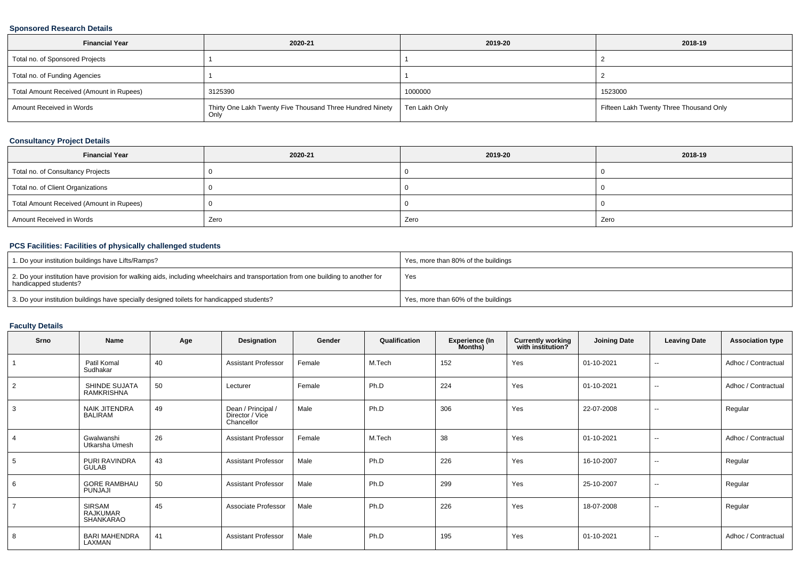## **Sponsored Research Details**

| <b>Financial Year</b>                    | 2020-21                                                   | 2019-20       | 2018-19                                 |
|------------------------------------------|-----------------------------------------------------------|---------------|-----------------------------------------|
| Total no. of Sponsored Projects          |                                                           |               |                                         |
| Total no. of Funding Agencies            |                                                           |               |                                         |
| Total Amount Received (Amount in Rupees) | 3125390                                                   | 1000000       | 1523000                                 |
| Amount Received in Words                 | Thirty One Lakh Twenty Five Thousand Three Hundred Ninety | Ten Lakh Only | Fifteen Lakh Twenty Three Thousand Only |

## **Consultancy Project Details**

| <b>Financial Year</b>                    | 2020-21 | 2019-20 | 2018-19 |
|------------------------------------------|---------|---------|---------|
| Total no. of Consultancy Projects        |         |         |         |
| Total no. of Client Organizations        |         |         |         |
| Total Amount Received (Amount in Rupees) |         |         |         |
| Amount Received in Words                 | Zero    | Zero    | Zero    |

## **PCS Facilities: Facilities of physically challenged students**

| 1. Do your institution buildings have Lifts/Ramps?                                                                                                         | Yes, more than 80% of the buildings |
|------------------------------------------------------------------------------------------------------------------------------------------------------------|-------------------------------------|
| 2. Do your institution have provision for walking aids, including wheelchairs and transportation from one building to another for<br>handicapped students? | Yes                                 |
| 3. Do your institution buildings have specially designed toilets for handicapped students?                                                                 | Yes, more than 60% of the buildings |

### **Faculty Details**

| Srno           | <b>Name</b>                                   | Age | Designation                                         | Gender | Qualification | <b>Experience (In</b><br>Months) | <b>Currently working</b><br>with institution? | <b>Joining Date</b> | <b>Leaving Date</b>      | <b>Association type</b> |
|----------------|-----------------------------------------------|-----|-----------------------------------------------------|--------|---------------|----------------------------------|-----------------------------------------------|---------------------|--------------------------|-------------------------|
|                | Patil Komal<br>Sudhakar                       | 40  | <b>Assistant Professor</b>                          | Female | M.Tech        | 152                              | Yes                                           | 01-10-2021          | $\overline{\phantom{a}}$ | Adhoc / Contractual     |
| 2              | SHINDE SUJATA<br>RAMKRISHNA                   | 50  | Lecturer                                            | Female | Ph.D          | 224                              | Yes                                           | 01-10-2021          | $\sim$                   | Adhoc / Contractual     |
| 3              | <b>NAIK JITENDRA</b><br><b>BALIRAM</b>        | 49  | Dean / Principal /<br>Director / Vice<br>Chancellor | Male   | Ph.D          | 306                              | Yes                                           | 22-07-2008          | $\sim$                   | Regular                 |
|                | Gwalwanshi<br>Utkarsha Umesh                  | 26  | <b>Assistant Professor</b>                          | Female | M.Tech        | 38                               | Yes                                           | 01-10-2021          | $\sim$                   | Adhoc / Contractual     |
| 5              | PURI RAVINDRA<br><b>GULAB</b>                 | 43  | <b>Assistant Professor</b>                          | Male   | Ph.D          | 226                              | Yes                                           | 16-10-2007          | $\sim$                   | Regular                 |
| 6              | <b>GORE RAMBHAU</b><br>PUNJAJI                | 50  | <b>Assistant Professor</b>                          | Male   | Ph.D          | 299                              | Yes                                           | 25-10-2007          | $\sim$                   | Regular                 |
| $\overline{7}$ | <b>SIRSAM</b><br><b>RAJKUMAR</b><br>SHANKARAO | 45  | Associate Professor                                 | Male   | Ph.D          | 226                              | Yes                                           | 18-07-2008          | $\sim$                   | Regular                 |
| 8              | <b>BARI MAHENDRA</b><br>LAXMAN                | 41  | <b>Assistant Professor</b>                          | Male   | Ph.D          | 195                              | Yes                                           | 01-10-2021          | $\sim$                   | Adhoc / Contractual     |